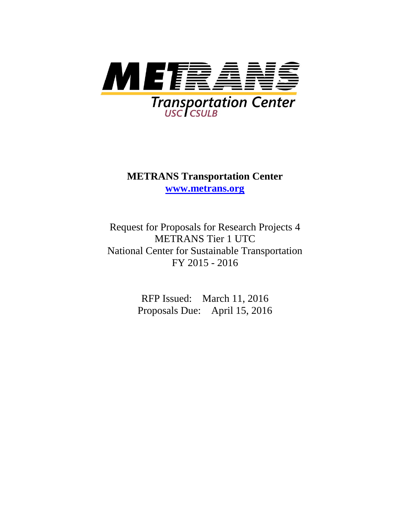

# **METRANS Transportation Center [www.metrans.org](http://www.metrans.org/)**

Request for Proposals for Research Projects 4 METRANS Tier 1 UTC National Center for Sustainable Transportation FY 2015 - 2016

> RFP Issued: March 11, 2016 Proposals Due: April 15, 2016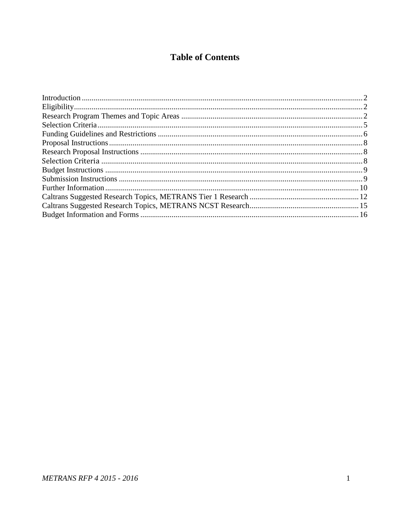# **Table of Contents**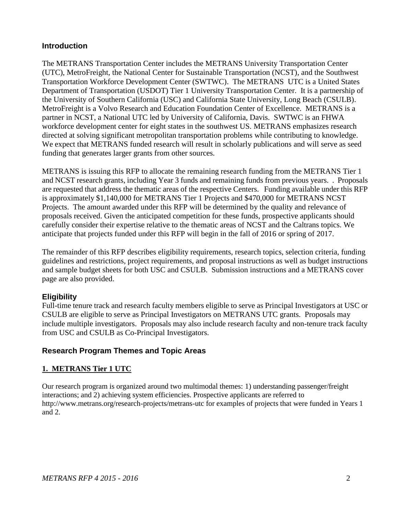# <span id="page-2-0"></span>**Introduction**

The METRANS Transportation Center includes the METRANS University Transportation Center (UTC), MetroFreight, the National Center for Sustainable Transportation (NCST), and the Southwest Transportation Workforce Development Center (SWTWC). The METRANS UTC is a United States Department of Transportation (USDOT) Tier 1 University Transportation Center. It is a partnership of the University of Southern California (USC) and California State University, Long Beach (CSULB). MetroFreight is a Volvo Research and Education Foundation Center of Excellence. METRANS is a partner in NCST, a National UTC led by University of California, Davis. SWTWC is an FHWA workforce development center for eight states in the southwest US. METRANS emphasizes research directed at solving significant metropolitan transportation problems while contributing to knowledge. We expect that METRANS funded research will result in scholarly publications and will serve as seed funding that generates larger grants from other sources.

METRANS is issuing this RFP to allocate the remaining research funding from the METRANS Tier 1 and NCST research grants, including Year 3 funds and remaining funds from previous years. . Proposals are requested that address the thematic areas of the respective Centers. Funding available under this RFP is approximately \$1,140,000 for METRANS Tier 1 Projects and \$470,000 for METRANS NCST Projects. The amount awarded under this RFP will be determined by the quality and relevance of proposals received. Given the anticipated competition for these funds, prospective applicants should carefully consider their expertise relative to the thematic areas of NCST and the Caltrans topics. We anticipate that projects funded under this RFP will begin in the fall of 2016 or spring of 2017.

The remainder of this RFP describes eligibility requirements, research topics, selection criteria, funding guidelines and restrictions, project requirements, and proposal instructions as well as budget instructions and sample budget sheets for both USC and CSULB. Submission instructions and a METRANS cover page are also provided.

# <span id="page-2-1"></span>**Eligibility**

Full-time tenure track and research faculty members eligible to serve as Principal Investigators at USC or CSULB are eligible to serve as Principal Investigators on METRANS UTC grants. Proposals may include multiple investigators. Proposals may also include research faculty and non-tenure track faculty from USC and CSULB as Co-Principal Investigators.

# <span id="page-2-2"></span>**Research Program Themes and Topic Areas**

## **1. METRANS Tier 1 UTC**

Our research program is organized around two multimodal themes: 1) understanding passenger/freight interactions; and 2) achieving system efficiencies. Prospective applicants are referred to http://www.metrans.org/research-projects/metrans-utc for examples of projects that were funded in Years 1 and 2.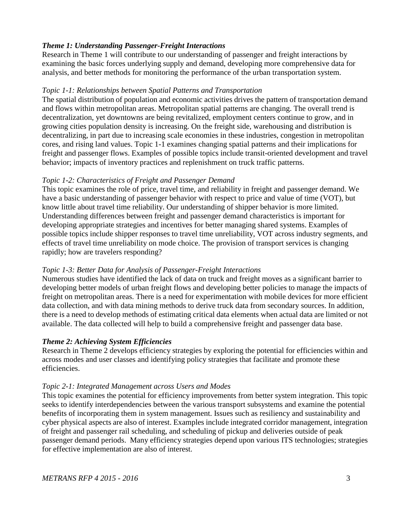## *Theme 1: Understanding Passenger-Freight Interactions*

Research in Theme 1 will contribute to our understanding of passenger and freight interactions by examining the basic forces underlying supply and demand, developing more comprehensive data for analysis, and better methods for monitoring the performance of the urban transportation system.

#### *Topic 1-1: Relationships between Spatial Patterns and Transportation*

The spatial distribution of population and economic activities drives the pattern of transportation demand and flows within metropolitan areas. Metropolitan spatial patterns are changing. The overall trend is decentralization, yet downtowns are being revitalized, employment centers continue to grow, and in growing cities population density is increasing. On the freight side, warehousing and distribution is decentralizing, in part due to increasing scale economies in these industries, congestion in metropolitan cores, and rising land values. Topic 1-1 examines changing spatial patterns and their implications for freight and passenger flows. Examples of possible topics include transit-oriented development and travel behavior; impacts of inventory practices and replenishment on truck traffic patterns.

## *Topic 1-2: Characteristics of Freight and Passenger Demand*

This topic examines the role of price, travel time, and reliability in freight and passenger demand. We have a basic understanding of passenger behavior with respect to price and value of time (VOT), but know little about travel time reliability. Our understanding of shipper behavior is more limited. Understanding differences between freight and passenger demand characteristics is important for developing appropriate strategies and incentives for better managing shared systems. Examples of possible topics include shipper responses to travel time unreliability, VOT across industry segments, and effects of travel time unreliability on mode choice. The provision of transport services is changing rapidly; how are travelers responding?

## *Topic 1-3: Better Data for Analysis of Passenger-Freight Interactions*

Numerous studies have identified the lack of data on truck and freight moves as a significant barrier to developing better models of urban freight flows and developing better policies to manage the impacts of freight on metropolitan areas. There is a need for experimentation with mobile devices for more efficient data collection, and with data mining methods to derive truck data from secondary sources. In addition, there is a need to develop methods of estimating critical data elements when actual data are limited or not available. The data collected will help to build a comprehensive freight and passenger data base.

# *Theme 2: Achieving System Efficiencies*

Research in Theme 2 develops efficiency strategies by exploring the potential for efficiencies within and across modes and user classes and identifying policy strategies that facilitate and promote these efficiencies.

## *Topic 2-1: Integrated Management across Users and Modes*

This topic examines the potential for efficiency improvements from better system integration. This topic seeks to identify interdependencies between the various transport subsystems and examine the potential benefits of incorporating them in system management. Issues such as resiliency and sustainability and cyber physical aspects are also of interest. Examples include integrated corridor management, integration of freight and passenger rail scheduling, and scheduling of pickup and deliveries outside of peak passenger demand periods. Many efficiency strategies depend upon various ITS technologies; strategies for effective implementation are also of interest.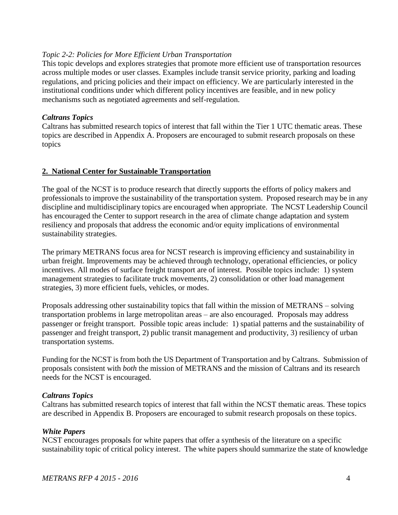#### *Topic 2-2: Policies for More Efficient Urban Transportation*

This topic develops and explores strategies that promote more efficient use of transportation resources across multiple modes or user classes. Examples include transit service priority, parking and loading regulations, and pricing policies and their impact on efficiency. We are particularly interested in the institutional conditions under which different policy incentives are feasible, and in new policy mechanisms such as negotiated agreements and self-regulation.

#### *Caltrans Topics*

Caltrans has submitted research topics of interest that fall within the Tier 1 UTC thematic areas. These topics are described in Appendix A. Proposers are encouraged to submit research proposals on these topics

#### **2. National Center for Sustainable Transportation**

The goal of the NCST is to produce research that directly supports the efforts of policy makers and professionals to improve the sustainability of the transportation system. Proposed research may be in any discipline and multidisciplinary topics are encouraged when appropriate. The NCST Leadership Council has encouraged the Center to support research in the area of climate change adaptation and system resiliency and proposals that address the economic and/or equity implications of environmental sustainability strategies.

The primary METRANS focus area for NCST research is improving efficiency and sustainability in urban freight. Improvements may be achieved through technology, operational efficiencies, or policy incentives. All modes of surface freight transport are of interest. Possible topics include: 1) system management strategies to facilitate truck movements, 2) consolidation or other load management strategies, 3) more efficient fuels, vehicles, or modes.

Proposals addressing other sustainability topics that fall within the mission of METRANS – solving transportation problems in large metropolitan areas – are also encouraged. Proposals may address passenger or freight transport. Possible topic areas include: 1) spatial patterns and the sustainability of passenger and freight transport, 2) public transit management and productivity, 3) resiliency of urban transportation systems.

Funding for the NCST is from both the US Department of Transportation and by Caltrans. Submission of proposals consistent with *both* the mission of METRANS and the mission of Caltrans and its research needs for the NCST is encouraged.

## *Caltrans Topics*

Caltrans has submitted research topics of interest that fall within the NCST thematic areas. These topics are described in Appendix B. Proposers are encouraged to submit research proposals on these topics.

#### *White Papers*

NCST encourages propo**s**als for white papers that offer a synthesis of the literature on a specific sustainability topic of critical policy interest. The white papers should summarize the state of knowledge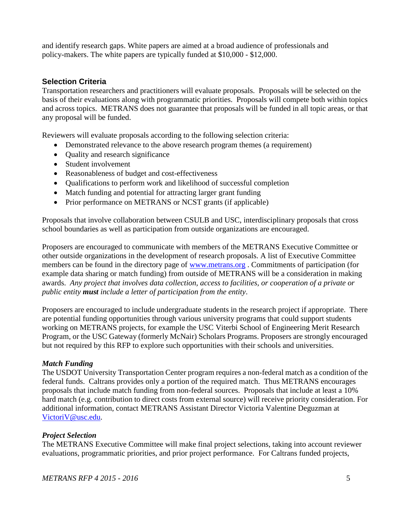and identify research gaps. White papers are aimed at a broad audience of professionals and policy-makers. The white papers are typically funded at \$10,000 - \$12,000.

## <span id="page-5-0"></span>**Selection Criteria**

Transportation researchers and practitioners will evaluate proposals. Proposals will be selected on the basis of their evaluations along with programmatic priorities. Proposals will compete both within topics and across topics. METRANS does not guarantee that proposals will be funded in all topic areas, or that any proposal will be funded.

Reviewers will evaluate proposals according to the following selection criteria:

- Demonstrated relevance to the above research program themes (a requirement)
- Quality and research significance
- Student involvement
- Reasonableness of budget and cost-effectiveness
- Qualifications to perform work and likelihood of successful completion
- Match funding and potential for attracting larger grant funding
- Prior performance on METRANS or NCST grants (if applicable)

Proposals that involve collaboration between CSULB and USC, interdisciplinary proposals that cross school boundaries as well as participation from outside organizations are encouraged.

Proposers are encouraged to communicate with members of the METRANS Executive Committee or other outside organizations in the development of research proposals. A list of Executive Committee members can be found in the directory page of [www.metrans.org](http://www.metrans.org/) . Commitments of participation (for example data sharing or match funding) from outside of METRANS will be a consideration in making awards. *Any project that involves data collection, access to facilities, or cooperation of a private or public entity must include a letter of participation from the entity*.

Proposers are encouraged to include undergraduate students in the research project if appropriate. There are potential funding opportunities through various university programs that could support students working on METRANS projects, for example the USC Viterbi School of Engineering Merit Research Program, or the USC Gateway (formerly McNair) Scholars Programs. Proposers are strongly encouraged but not required by this RFP to explore such opportunities with their schools and universities.

## *Match Funding*

The USDOT University Transportation Center program requires a non-federal match as a condition of the federal funds. Caltrans provides only a portion of the required match. Thus METRANS encourages proposals that include match funding from non-federal sources. Proposals that include at least a 10% hard match (e.g. contribution to direct costs from external source) will receive priority consideration. For additional information, contact METRANS Assistant Director Victoria Valentine Deguzman at [VictoriV@usc.edu.](mailto:VictoriV@usc.edu)

## *Project Selection*

The METRANS Executive Committee will make final project selections, taking into account reviewer evaluations, programmatic priorities, and prior project performance. For Caltrans funded projects,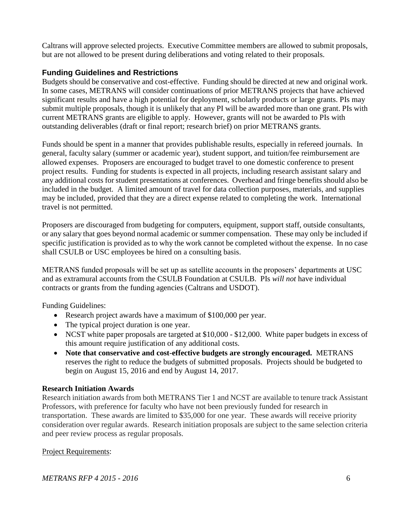Caltrans will approve selected projects. Executive Committee members are allowed to submit proposals, but are not allowed to be present during deliberations and voting related to their proposals.

## <span id="page-6-0"></span>**Funding Guidelines and Restrictions**

Budgets should be conservative and cost-effective. Funding should be directed at new and original work. In some cases, METRANS will consider continuations of prior METRANS projects that have achieved significant results and have a high potential for deployment, scholarly products or large grants. PIs may submit multiple proposals, though it is unlikely that any PI will be awarded more than one grant. PIs with current METRANS grants are eligible to apply. However, grants will not be awarded to PIs with outstanding deliverables (draft or final report; research brief) on prior METRANS grants.

Funds should be spent in a manner that provides publishable results, especially in refereed journals. In general, faculty salary (summer or academic year), student support, and tuition/fee reimbursement are allowed expenses. Proposers are encouraged to budget travel to one domestic conference to present project results. Funding for students is expected in all projects, including research assistant salary and any additional costs for student presentations at conferences. Overhead and fringe benefits should also be included in the budget. A limited amount of travel for data collection purposes, materials, and supplies may be included, provided that they are a direct expense related to completing the work. International travel is not permitted.

Proposers are discouraged from budgeting for computers, equipment, support staff, outside consultants, or any salary that goes beyond normal academic or summer compensation. These may only be included if specific justification is provided as to why the work cannot be completed without the expense. In no case shall CSULB or USC employees be hired on a consulting basis.

METRANS funded proposals will be set up as satellite accounts in the proposers' departments at USC and as extramural accounts from the CSULB Foundation at CSULB. PIs *will not* have individual contracts or grants from the funding agencies (Caltrans and USDOT).

Funding Guidelines:

- Research project awards have a maximum of \$100,000 per year.
- The typical project duration is one year.
- NCST white paper proposals are targeted at \$10,000 \$12,000. White paper budgets in excess of this amount require justification of any additional costs.
- **Note that conservative and cost-effective budgets are strongly encouraged.** METRANS reserves the right to reduce the budgets of submitted proposals. Projects should be budgeted to begin on August 15, 2016 and end by August 14, 2017.

## **Research Initiation Awards**

Research initiation awards from both METRANS Tier 1 and NCST are available to tenure track Assistant Professors, with preference for faculty who have not been previously funded for research in transportation. These awards are limited to \$35,000 for one year. These awards will receive priority consideration over regular awards. Research initiation proposals are subject to the same selection criteria and peer review process as regular proposals.

Project Requirements:

*METRANS RFP 4 2015 - 2016* 6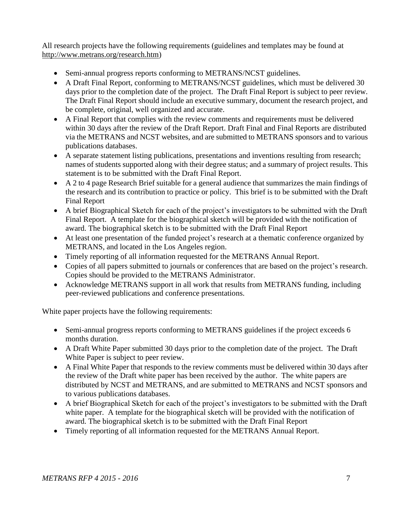All research projects have the following requirements (guidelines and templates may be found at [http://www.metrans.org/research.htm\)](http://www.metrans.org/research.htm)

- Semi-annual progress reports conforming to METRANS/NCST guidelines.
- A Draft Final Report, conforming to METRANS/NCST guidelines, which must be delivered 30 days prior to the completion date of the project. The Draft Final Report is subject to peer review. The Draft Final Report should include an executive summary, document the research project, and be complete, original, well organized and accurate.
- A Final Report that complies with the review comments and requirements must be delivered within 30 days after the review of the Draft Report. Draft Final and Final Reports are distributed via the METRANS and NCST websites, and are submitted to METRANS sponsors and to various publications databases.
- A separate statement listing publications, presentations and inventions resulting from research; names of students supported along with their degree status; and a summary of project results. This statement is to be submitted with the Draft Final Report.
- A 2 to 4 page Research Brief suitable for a general audience that summarizes the main findings of the research and its contribution to practice or policy. This brief is to be submitted with the Draft Final Report
- A brief Biographical Sketch for each of the project's investigators to be submitted with the Draft Final Report. A template for the biographical sketch will be provided with the notification of award. The biographical sketch is to be submitted with the Draft Final Report
- At least one presentation of the funded project's research at a thematic conference organized by METRANS, and located in the Los Angeles region.
- Timely reporting of all information requested for the METRANS Annual Report.
- Copies of all papers submitted to journals or conferences that are based on the project's research. Copies should be provided to the METRANS Administrator.
- Acknowledge METRANS support in all work that results from METRANS funding, including peer-reviewed publications and conference presentations.

White paper projects have the following requirements:

- Semi-annual progress reports conforming to METRANS guidelines if the project exceeds 6 months duration.
- A Draft White Paper submitted 30 days prior to the completion date of the project. The Draft White Paper is subject to peer review.
- A Final White Paper that responds to the review comments must be delivered within 30 days after the review of the Draft white paper has been received by the author. The white papers are distributed by NCST and METRANS, and are submitted to METRANS and NCST sponsors and to various publications databases.
- A brief Biographical Sketch for each of the project's investigators to be submitted with the Draft white paper. A template for the biographical sketch will be provided with the notification of award. The biographical sketch is to be submitted with the Draft Final Report
- Timely reporting of all information requested for the METRANS Annual Report.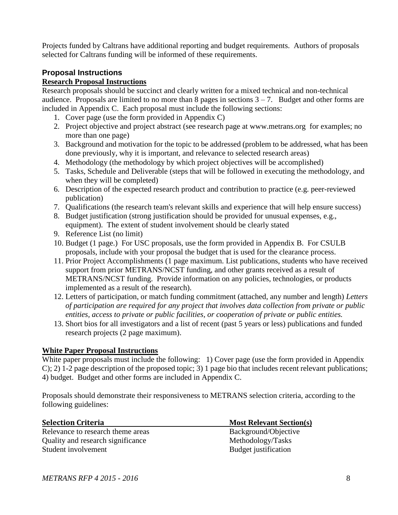Projects funded by Caltrans have additional reporting and budget requirements. Authors of proposals selected for Caltrans funding will be informed of these requirements.

# <span id="page-8-0"></span>**Proposal Instructions**

## <span id="page-8-1"></span>**Research Proposal Instructions**

Research proposals should be succinct and clearly written for a mixed technical and non-technical audience. Proposals are limited to no more than  $\delta$  pages in sections  $3 - 7$ . Budget and other forms are included in Appendix C. Each proposal must include the following sections:

- 1. Cover page (use the form provided in Appendix C)
- 2. Project objective and project abstract (see research page at [www.metrans.org](http://www.metrans.org/) for examples; no more than one page)
- 3. Background and motivation for the topic to be addressed (problem to be addressed, what has been done previously, why it is important, and relevance to selected research areas)
- 4. Methodology (the methodology by which project objectives will be accomplished)
- 5. Tasks, Schedule and Deliverable (steps that will be followed in executing the methodology, and when they will be completed)
- 6. Description of the expected research product and contribution to practice (e.g. peer-reviewed publication)
- 7. Qualifications (the research team's relevant skills and experience that will help ensure success)
- 8. Budget justification (strong justification should be provided for unusual expenses, e.g., equipment). The extent of student involvement should be clearly stated
- 9. Reference List (no limit)
- 10. Budget (1 page.) For USC proposals, use the form provided in Appendix B. For CSULB proposals, include with your proposal the budget that is used for the clearance process.
- 11. Prior Project Accomplishments (1 page maximum. List publications, students who have received support from prior METRANS/NCST funding, and other grants received as a result of METRANS/NCST funding. Provide information on any policies, technologies, or products implemented as a result of the research).
- 12. Letters of participation, or match funding commitment (attached, any number and length) *Letters of participation are required for any project that involves data collection from private or public entities, access to private or public facilities, or cooperation of private or public entities.*
- 13. Short bios for all investigators and a list of recent (past 5 years or less) publications and funded research projects (2 page maximum).

# **White Paper Proposal Instructions**

White paper proposals must include the following: 1) Cover page (use the form provided in Appendix C); 2) 1-2 page description of the proposed topic; 3) 1 page bio that includes recent relevant publications; 4) budget. Budget and other forms are included in Appendix C.

Proposals should demonstrate their responsiveness to METRANS selection criteria, according to the following guidelines:

<span id="page-8-2"></span>

| <b>Selection Criteria</b>         | <b>Most Relevant Section(s)</b> |
|-----------------------------------|---------------------------------|
| Relevance to research theme areas | Background/Objective            |
| Quality and research significance | Methodology/Tasks               |
| Student involvement               | Budget justification            |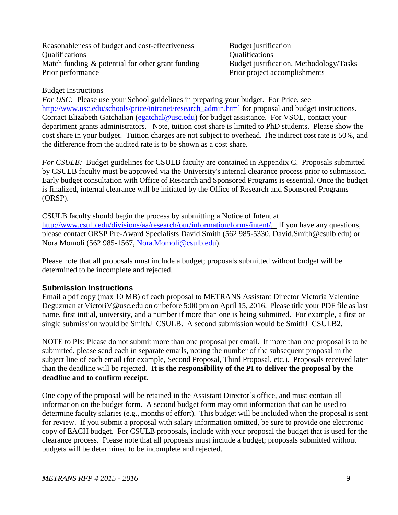Reasonableness of budget and cost-effectiveness Budget justification Qualifications Qualifications Match funding & potential for other grant funding Budget justification, Methodology/Tasks Prior performance Prior project accomplishments

#### <span id="page-9-0"></span>Budget Instructions

*For USC:* Please use your School guidelines in preparing your budget. For Price, see [http://www.usc.edu/schools/price/intranet/research\\_admin.html](http://www.usc.edu/schools/price/intranet/research_admin.html) for proposal and budget instructions. Contact Elizabeth Gatchalian [\(egatchal@usc.edu\)](mailto:egatchal@usc.edu) for budget assistance. For VSOE, contact your department grants administrators. Note, tuition cost share is limited to PhD students. Please show the cost share in your budget. Tuition charges are not subject to overhead. The indirect cost rate is 50%, and the difference from the audited rate is to be shown as a cost share.

*For CSULB:* Budget guidelines for CSULB faculty are contained in Appendix C. Proposals submitted by CSULB faculty must be approved via the University's internal clearance process prior to submission. Early budget consultation with Office of Research and Sponsored Programs is essential. Once the budget is finalized, internal clearance will be initiated by the Office of Research and Sponsored Programs (ORSP).

CSULB faculty should begin the process by submitting a Notice of Intent at [http://www.csulb.edu/divisions/aa/research/our/information/forms/intent/.](http://www.csulb.edu/divisions/aa/research/our/information/forms/intent/) If you have any questions, please contact ORSP Pre-Award Specialists David Smith (562 985-5330, David.Smith@csulb.edu) or Nora Momoli (562 985-1567, [Nora.Momoli@csulb.edu\)](mailto:Nora.Momoli@csulb.edu).

Please note that all proposals must include a budget; proposals submitted without budget will be determined to be incomplete and rejected.

## <span id="page-9-1"></span>**Submission Instructions**

Email a pdf copy (max 10 MB) of each proposal to METRANS Assistant Director Victoria Valentine Deguzman at VictoriV@usc.edu on or before 5:00 pm on April 15, 2016. Please title your PDF file as last name, first initial, university, and a number if more than one is being submitted. For example, a first or single submission would be SmithJ\_CSULB. A second submission would be SmithJ\_CSULB2.

NOTE to PIs: Please do not submit more than one proposal per email. If more than one proposal is to be submitted, please send each in separate emails, noting the number of the subsequent proposal in the subject line of each email (for example, Second Proposal, Third Proposal, etc.). Proposals received later than the deadline will be rejected. **It is the responsibility of the PI to deliver the proposal by the deadline and to confirm receipt.** 

One copy of the proposal will be retained in the Assistant Director's office, and must contain all information on the budget form. A second budget form may omit information that can be used to determine faculty salaries (e.g., months of effort). This budget will be included when the proposal is sent for review. If you submit a proposal with salary information omitted, be sure to provide one electronic copy of EACH budget. For CSULB proposals, include with your proposal the budget that is used for the clearance process. Please note that all proposals must include a budget; proposals submitted without budgets will be determined to be incomplete and rejected.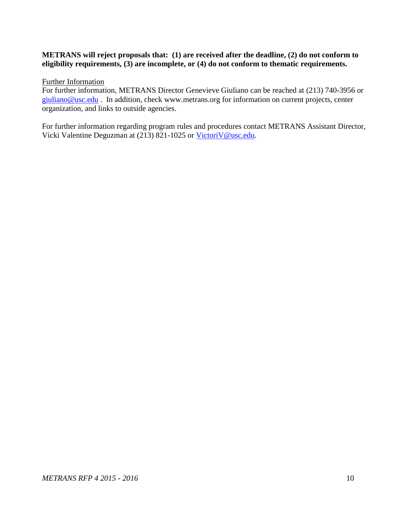#### **METRANS will reject proposals that: (1) are received after the deadline, (2) do not conform to eligibility requirements, (3) are incomplete, or (4) do not conform to thematic requirements.**

<span id="page-10-0"></span>Further Information

For further information, METRANS Director Genevieve Giuliano can be reached at (213) 740-3956 or [giuliano@usc.edu](mailto:giuliano@usc.edu) . In addition, check [www.metrans.org](http://www.metrans.org/) for information on current projects, center organization, and links to outside agencies.

For further information regarding program rules and procedures contact METRANS Assistant Director, Vicki Valentine Deguzman at (213) 821-1025 or [VictoriV@usc.edu.](mailto:VictoriV@usc.edu)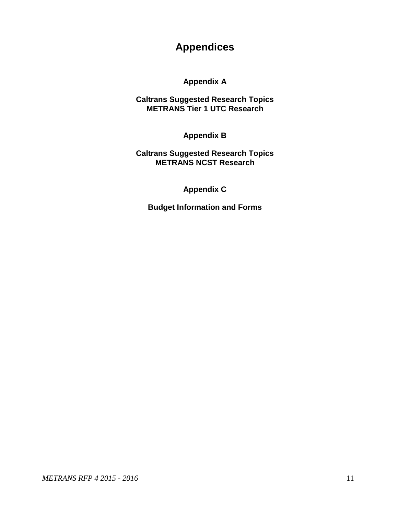# **Appendices**

**Appendix A**

**Caltrans Suggested Research Topics METRANS Tier 1 UTC Research**

**Appendix B**

**Caltrans Suggested Research Topics METRANS NCST Research**

**Appendix C**

**Budget Information and Forms**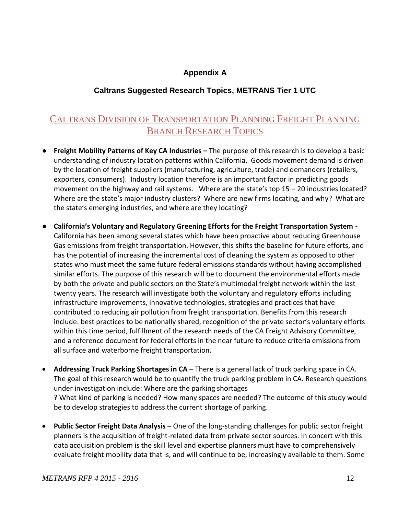# **Appendix A**

# **Caltrans Suggested Research Topics, METRANS Tier 1 UTC**

# <span id="page-12-0"></span>CALTRANS DIVISION OF TRANSPORTATION PLANNING FREIGHT PLANNING BRANCH RESEARCH TOPICS

- **Freight Mobility Patterns of Key CA Industries –** The purpose of this research is to develop a basic understanding of industry location patterns within California. Goods movement demand is driven by the location of freight suppliers (manufacturing, agriculture, trade) and demanders (retailers, exporters, consumers). Industry location therefore is an important factor in predicting goods movement on the highway and rail systems. Where are the state's top 15 – 20 industries located? Where are the state's major industry clusters? Where are new firms locating, and why? What are the state's emerging industries, and where are they locating?
- **California's Voluntary and Regulatory Greening Efforts for the Freight Transportation System -** California has been among several states which have been proactive about reducing Greenhouse Gas emissions from freight transportation. However, this shifts the baseline for future efforts, and has the potential of increasing the incremental cost of cleaning the system as opposed to other states who must meet the same future federal emissions standards without having accomplished similar efforts. The purpose of this research will be to document the environmental efforts made by both the private and public sectors on the State's multimodal freight network within the last twenty years. The research will investigate both the voluntary and regulatory efforts including infrastructure improvements, innovative technologies, strategies and practices that have contributed to reducing air pollution from freight transportation. Benefits from this research include: best practices to be nationally shared, recognition of the private sector's voluntary efforts within this time period, fulfillment of the research needs of the CA Freight Advisory Committee, and a reference document for federal efforts in the near future to reduce criteria emissions from all surface and waterborne freight transportation.
- **Addressing Truck Parking Shortages in CA** There is a general lack of truck parking space in CA. The goal of this research would be to quantify the truck parking problem in CA. Research questions under investigation include: Where are the parking shortages ? What kind of parking is needed? How many spaces are needed? The outcome of this study would be to develop strategies to address the current shortage of parking.
- **Public Sector Freight Data Analysis** One of the long-standing challenges for public sector freight planners is the acquisition of freight-related data from private sector sources. In concert with this data acquisition problem is the skill level and expertise planners must have to comprehensively evaluate freight mobility data that is, and will continue to be, increasingly available to them. Some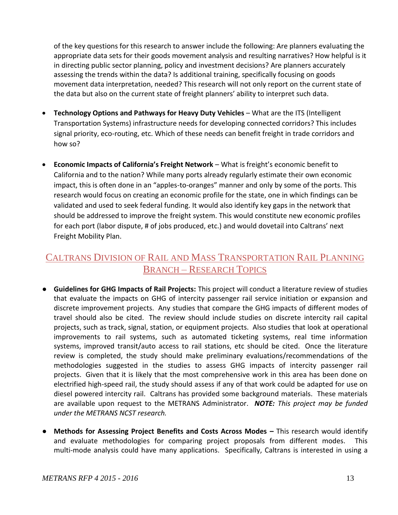of the key questions for this research to answer include the following: Are planners evaluating the appropriate data sets for their goods movement analysis and resulting narratives? How helpful is it in directing public sector planning, policy and investment decisions? Are planners accurately assessing the trends within the data? Is additional training, specifically focusing on goods movement data interpretation, needed? This research will not only report on the current state of the data but also on the current state of freight planners' ability to interpret such data.

- **Technology Options and Pathways for Heavy Duty Vehicles** What are the ITS (Intelligent Transportation Systems) infrastructure needs for developing connected corridors? This includes signal priority, eco-routing, etc. Which of these needs can benefit freight in trade corridors and how so?
- **Economic Impacts of California's Freight Network** What is freight's economic benefit to California and to the nation? While many ports already regularly estimate their own economic impact, this is often done in an "apples-to-oranges" manner and only by some of the ports. This research would focus on creating an economic profile for the state, one in which findings can be validated and used to seek federal funding. It would also identify key gaps in the network that should be addressed to improve the freight system. This would constitute new economic profiles for each port (labor dispute, # of jobs produced, etc.) and would dovetail into Caltrans' next Freight Mobility Plan.

# CALTRANS DIVISION OF RAIL AND MASS TRANSPORTATION RAIL PLANNING BRANCH – RESEARCH TOPICS

- **Guidelines for GHG Impacts of Rail Projects:** This project will conduct a literature review of studies that evaluate the impacts on GHG of intercity passenger rail service initiation or expansion and discrete improvement projects. Any studies that compare the GHG impacts of different modes of travel should also be cited. The review should include studies on discrete intercity rail capital projects, such as track, signal, station, or equipment projects. Also studies that look at operational improvements to rail systems, such as automated ticketing systems, real time information systems, improved transit/auto access to rail stations, etc should be cited. Once the literature review is completed, the study should make preliminary evaluations/recommendations of the methodologies suggested in the studies to assess GHG impacts of intercity passenger rail projects. Given that it is likely that the most comprehensive work in this area has been done on electrified high-speed rail, the study should assess if any of that work could be adapted for use on diesel powered intercity rail. Caltrans has provided some background materials. These materials are available upon request to the METRANS Administrator. *NOTE: This project may be funded under the METRANS NCST research.*
- **Methods for Assessing Project Benefits and Costs Across Modes This research would identify** and evaluate methodologies for comparing project proposals from different modes. This multi-mode analysis could have many applications. Specifically, Caltrans is interested in using a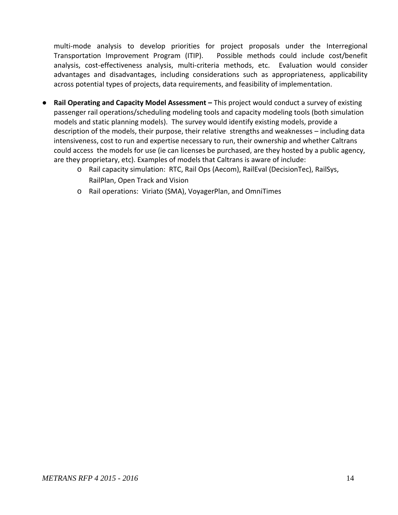multi-mode analysis to develop priorities for project proposals under the Interregional Transportation Improvement Program (ITIP). Possible methods could include cost/benefit analysis, cost-effectiveness analysis, multi-criteria methods, etc. Evaluation would consider advantages and disadvantages, including considerations such as appropriateness, applicability across potential types of projects, data requirements, and feasibility of implementation.

- **Rail Operating and Capacity Model Assessment This project would conduct a survey of existing** passenger rail operations/scheduling modeling tools and capacity modeling tools (both simulation models and static planning models). The survey would identify existing models, provide a description of the models, their purpose, their relative strengths and weaknesses – including data intensiveness, cost to run and expertise necessary to run, their ownership and whether Caltrans could access the models for use (ie can licenses be purchased, are they hosted by a public agency, are they proprietary, etc). Examples of models that Caltrans is aware of include:
	- o Rail capacity simulation: RTC, Rail Ops (Aecom), RailEval (DecisionTec), RailSys, RailPlan, Open Track and Vision
	- o Rail operations: Viriato (SMA), VoyagerPlan, and OmniTimes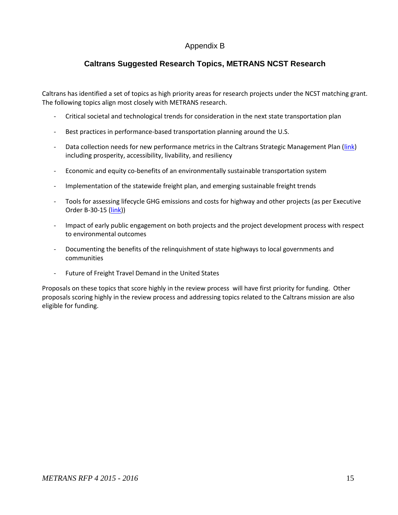# Appendix B

# **Caltrans Suggested Research Topics, METRANS NCST Research**

<span id="page-15-0"></span>Caltrans has identified a set of topics as high priority areas for research projects under the NCST matching grant. The following topics align most closely with METRANS research.

- Critical societal and technological trends for consideration in the next state transportation plan
- Best practices in performance-based transportation planning around the U.S.
- Data collection needs for new performance metrics in the Caltrans Strategic Management Plan [\(link\)](http://www.dot.ca.gov/perf/library/pdf/Caltrans_Strategic_Mgmt_Plan_033015.pdf) including prosperity, accessibility, livability, and resiliency
- Economic and equity co-benefits of an environmentally sustainable transportation system
- Implementation of the statewide freight plan, and emerging sustainable freight trends
- Tools for assessing lifecycle GHG emissions and costs for highway and other projects (as per Executive Order B-30-15 [\(link\)](https://www.gov.ca.gov/news.php?id=18938))
- Impact of early public engagement on both projects and the project development process with respect to environmental outcomes
- Documenting the benefits of the relinquishment of state highways to local governments and communities
- Future of Freight Travel Demand in the United States

Proposals on these topics that score highly in the review process will have first priority for funding. Other proposals scoring highly in the review process and addressing topics related to the Caltrans mission are also eligible for funding.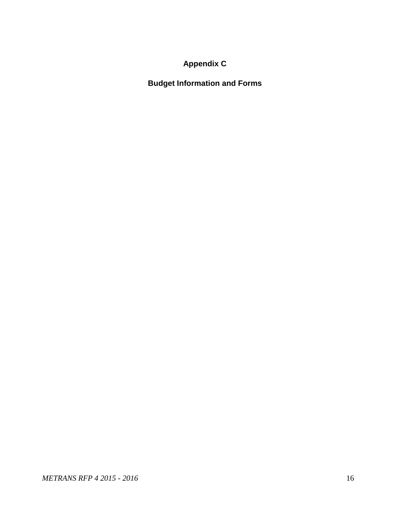# **Appendix C**

<span id="page-16-0"></span>**Budget Information and Forms**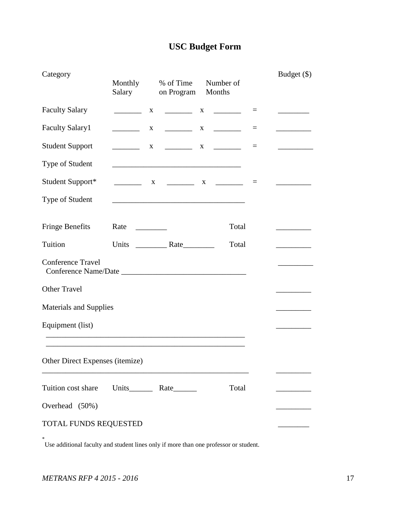# **USC Budget Form**

| Category                        | Monthly<br>Salary                                                                                                                                                                                                                            | % of Time<br>on Program                                                                                                | Number of<br>Months |       |          | Budget (\$) |
|---------------------------------|----------------------------------------------------------------------------------------------------------------------------------------------------------------------------------------------------------------------------------------------|------------------------------------------------------------------------------------------------------------------------|---------------------|-------|----------|-------------|
| <b>Faculty Salary</b>           | X                                                                                                                                                                                                                                            |                                                                                                                        |                     |       | $\equiv$ |             |
| <b>Faculty Salary1</b>          | $\mathbf{X}$                                                                                                                                                                                                                                 |                                                                                                                        |                     |       | $=$      |             |
| <b>Student Support</b>          | $\mathbf{X}$                                                                                                                                                                                                                                 | $\begin{array}{ccccccccccccc}\n & & X & & \downarrow & & & \downarrow\n\end{array}$                                    |                     |       | $\equiv$ |             |
| Type of Student                 |                                                                                                                                                                                                                                              | <u> 1989 - Johann John Stone, mars eta biztanleria (h. 1989).</u>                                                      |                     |       |          |             |
| Student Support*                |                                                                                                                                                                                                                                              | X __________ X ________                                                                                                |                     |       | $\equiv$ |             |
| Type of Student                 |                                                                                                                                                                                                                                              | <u> 1989 - Johann John Stone, mars et al. 1989 - John Stone, mars et al. 1989 - John Stone, mars et al. 1989 - Joh</u> |                     |       |          |             |
| <b>Fringe Benefits</b>          | Rate<br><u>and the state of the state of the state of the state of the state of the state of the state of the state of the state of the state of the state of the state of the state of the state of the state of the state of the state</u> |                                                                                                                        |                     | Total |          |             |
| Tuition                         |                                                                                                                                                                                                                                              |                                                                                                                        |                     | Total |          |             |
| <b>Conference Travel</b>        |                                                                                                                                                                                                                                              |                                                                                                                        |                     |       |          |             |
| <b>Other Travel</b>             |                                                                                                                                                                                                                                              |                                                                                                                        |                     |       |          |             |
| <b>Materials and Supplies</b>   |                                                                                                                                                                                                                                              |                                                                                                                        |                     |       |          |             |
| Equipment (list)                |                                                                                                                                                                                                                                              |                                                                                                                        |                     |       |          |             |
| Other Direct Expenses (itemize) |                                                                                                                                                                                                                                              |                                                                                                                        |                     |       |          |             |
| Tuition cost share              |                                                                                                                                                                                                                                              |                                                                                                                        |                     | Total |          |             |
| Overhead (50%)                  |                                                                                                                                                                                                                                              |                                                                                                                        |                     |       |          |             |
| TOTAL FUNDS REQUESTED           |                                                                                                                                                                                                                                              |                                                                                                                        |                     |       |          |             |

\* Use additional faculty and student lines only if more than one professor or student.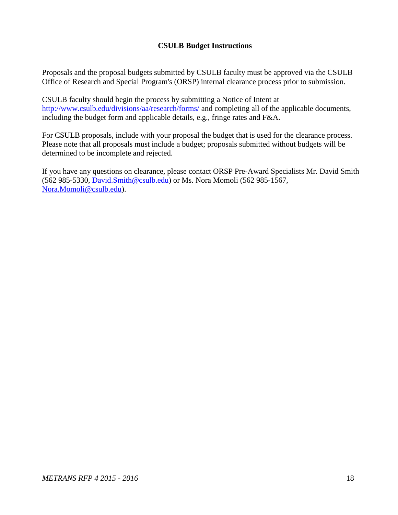## **CSULB Budget Instructions**

Proposals and the proposal budgets submitted by CSULB faculty must be approved via the CSULB Office of Research and Special Program's (ORSP) internal clearance process prior to submission.

CSULB faculty should begin the process by submitting a Notice of Intent at <http://www.csulb.edu/divisions/aa/research/forms/> and completing all of the applicable documents, including the budget form and applicable details, e.g., fringe rates and F&A.

For CSULB proposals, include with your proposal the budget that is used for the clearance process. Please note that all proposals must include a budget; proposals submitted without budgets will be determined to be incomplete and rejected.

If you have any questions on clearance, please contact ORSP Pre-Award Specialists Mr. David Smith (562 985-5330, [David.Smith@csulb.edu\)](mailto:David.Smith@csulb.edu) or Ms. Nora Momoli (562 985-1567, [Nora.Momoli@csulb.edu\)](mailto:Nora.Momoli@csulb.edu).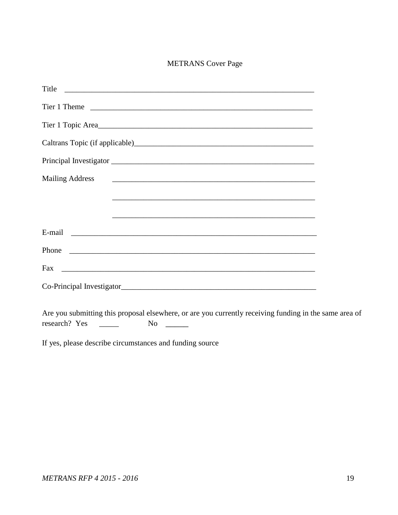## METRANS Cover Page

| Title                     |
|---------------------------|
|                           |
| Tier 1 Topic Area         |
|                           |
|                           |
| <b>Mailing Address</b>    |
|                           |
|                           |
|                           |
|                           |
|                           |
| Co-Principal Investigator |
|                           |

Are you submitting this proposal elsewhere, or are you currently receiving funding in the same area of research? Yes \_\_\_\_\_\_ No \_\_\_\_\_

If yes, please describe circumstances and funding source